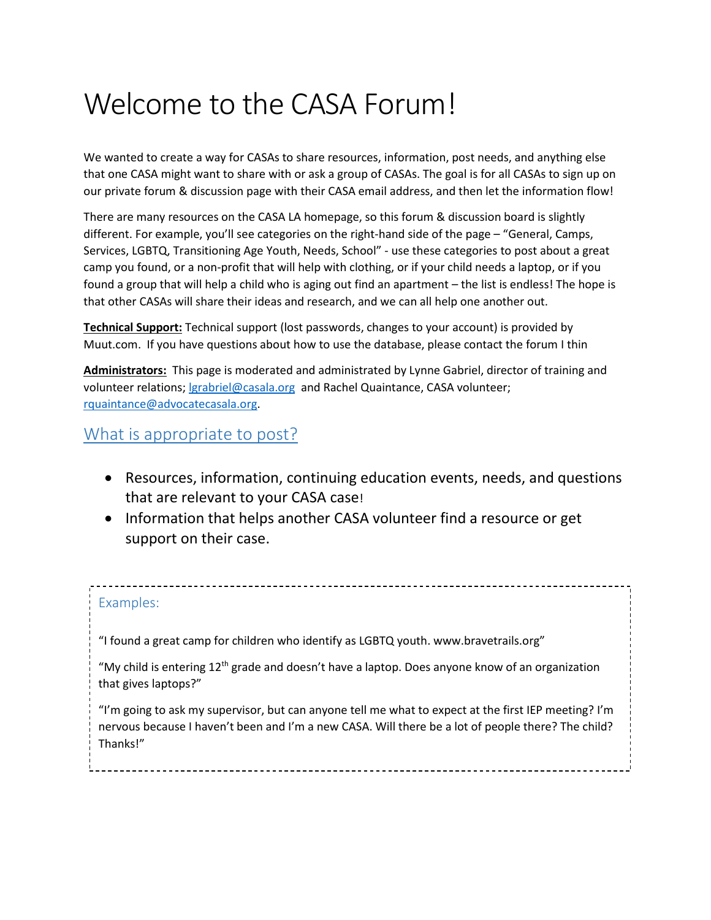# Welcome to the CASA Forum!

We wanted to create a way for CASAs to share resources, information, post needs, and anything else that one CASA might want to share with or ask a group of CASAs. The goal is for all CASAs to sign up on our private forum & discussion page with their CASA email address, and then let the information flow!

There are many resources on the CASA LA homepage, so this forum & discussion board is slightly different. For example, you'll see categories on the right-hand side of the page – "General, Camps, Services, LGBTQ, Transitioning Age Youth, Needs, School" - use these categories to post about a great camp you found, or a non-profit that will help with clothing, or if your child needs a laptop, or if you found a group that will help a child who is aging out find an apartment – the list is endless! The hope is that other CASAs will share their ideas and research, and we can all help one another out.

**Technical Support:** Technical support (lost passwords, changes to your account) is provided by Muut.com. If you have questions about how to use the database, please contact the forum I thin

**Administrators:** This page is moderated and administrated by Lynne Gabriel, director of training and volunteer relations[; lgrabriel@casala.org](mailto:lgrabriel@casala.org) and Rachel Quaintance, CASA volunteer; [rquaintance@advocatecasala.org.](mailto:rquaintance@advocatecasala.org)

## What is appropriate to post?

- Resources, information, continuing education events, needs, and questions that are relevant to your CASA case!
- Information that helps another CASA volunteer find a resource or get support on their case.

#### Examples:

"I found a great camp for children who identify as LGBTQ youth. www.bravetrails.org"

"My child is entering  $12<sup>th</sup>$  grade and doesn't have a laptop. Does anyone know of an organization that gives laptops?"

"I'm going to ask my supervisor, but can anyone tell me what to expect at the first IEP meeting? I'm nervous because I haven't been and I'm a new CASA. Will there be a lot of people there? The child? Thanks!"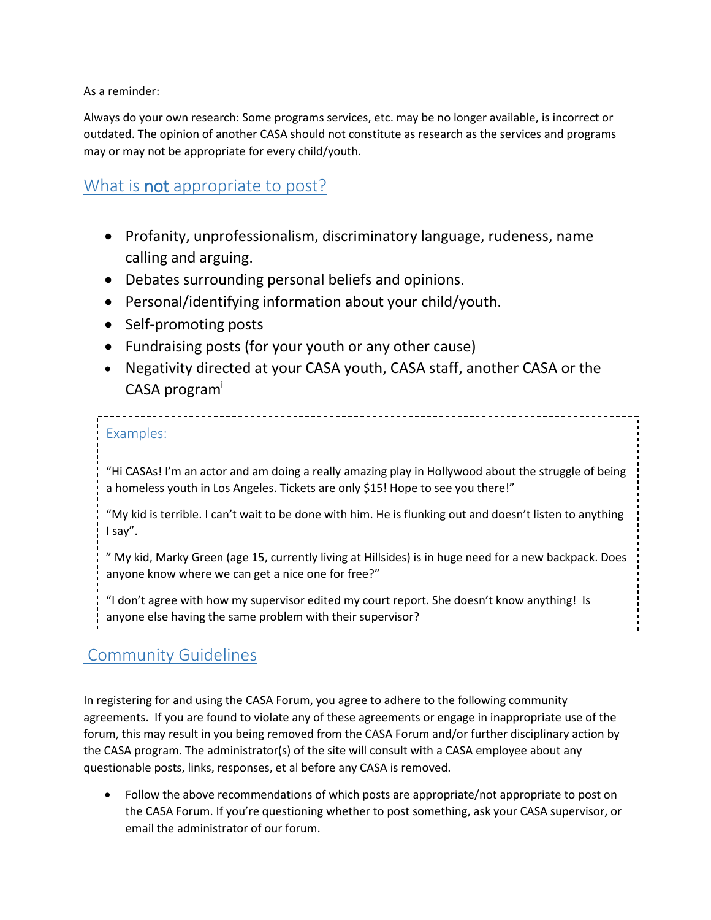As a reminder:

Always do your own research: Some programs services, etc. may be no longer available, is incorrect or outdated. The opinion of another CASA should not constitute as research as the services and programs may or may not be appropriate for every child/youth.

## What is **not** appropriate to post?

- Profanity, unprofessionalism, discriminatory language, rudeness, name calling and arguing.
- Debates surrounding personal beliefs and opinions.
- Personal/identifying information about your child/youth.
- Self-promoting posts
- Fundraising posts (for your youth or any other cause)
- Negativity directed at your CASA youth, CASA staff, another CASA or the CASA program<sup>i</sup>

### Examples:

"Hi CASAs! I'm an actor and am doing a really amazing play in Hollywood about the struggle of being a homeless youth in Los Angeles. Tickets are only \$15! Hope to see you there!"

"My kid is terrible. I can't wait to be done with him. He is flunking out and doesn't listen to anything I say".

" My kid, Marky Green (age 15, currently living at Hillsides) is in huge need for a new backpack. Does anyone know where we can get a nice one for free?"

"I don't agree with how my supervisor edited my court report. She doesn't know anything! Is anyone else having the same problem with their supervisor?

## Community Guidelines

In registering for and using the CASA Forum, you agree to adhere to the following community agreements. If you are found to violate any of these agreements or engage in inappropriate use of the forum, this may result in you being removed from the CASA Forum and/or further disciplinary action by the CASA program. The administrator(s) of the site will consult with a CASA employee about any questionable posts, links, responses, et al before any CASA is removed.

 Follow the above recommendations of which posts are appropriate/not appropriate to post on the CASA Forum. If you're questioning whether to post something, ask your CASA supervisor, or email the administrator of our forum.